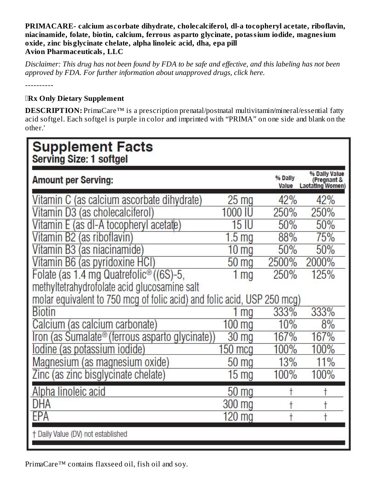**PRIMACARE- calcium as corbate dihydrate, cholecalciferol, dl-a tocopheryl acetate, riboflavin, niacinamide, folate, biotin, calcium, ferrous asparto glycinate, potassium iodide, magnesium oxide, zinc bisglycinate chelate, alpha linoleic acid, dha, epa pill Avion Pharmaceuticals, LLC**

Disclaimer: This drug has not been found by FDA to be safe and effective, and this labeling has not been *approved by FDA. For further information about unapproved drugs, click here.*

----------

### **Rx Only Dietary Supplement**

**DESCRIPTION:** PrimaCare<sup>™</sup> is a prescription prenatal/postnatal multivitamin/mineral/essential fatty acid softgel. Each softgel is purple in color and imprinted with "PRIMA" on one side and blank on the other.'

| <b>Supplement Facts</b><br><b>Serving Size: 1 softgel</b>               |                    |                  |                                                         |
|-------------------------------------------------------------------------|--------------------|------------------|---------------------------------------------------------|
| <b>Amount per Serving:</b>                                              |                    | % Dally<br>Value | % Dally Value<br>(Pregnant &<br><b>Lactating Women)</b> |
| Vitamin C (as calcium ascorbate dihydrate)                              | $25 \mathrm{mg}$   | 42%              | 42%                                                     |
| Vitamin D3 (as cholecalciferol)                                         | 1000 IL            | 250%             | 250%                                                    |
| Vitamin E (as dl-A tocopheryl acetate)                                  | 15                 | 50%              | 50%                                                     |
| Vitamin B2 (as riboflavin)                                              | 1.5 <sub>mg</sub>  | 88%              | 75%                                                     |
| Vitamin B3 (as niacinamide)                                             | 10 <sub>mg</sub>   | 50%              | 50%                                                     |
| Vitamin B6 (as pyridoxine HCI)                                          | $50 \,\mathrm{mg}$ | 2500%            | 2000%                                                   |
| Folate (as 1.4 mg Quatrefolic® ((6S)-5,                                 | 1 <sub>mg</sub>    | 250%             | 125%                                                    |
| methyltetrahydrofolate acid glucosamine salt                            |                    |                  |                                                         |
| molar equivalent to 750 mcg of folic acid) and folic acid, USP 250 mcg) |                    |                  |                                                         |
| <b>Biotin</b>                                                           | 1 mg               | 333%             | 333%                                                    |
| Calcium (as calcium carbonate)                                          | $100$ mg           | 10%              | 8%                                                      |
| Iron (as Sumalate® (ferrous asparto glycinate)                          | 30 mg              | 167%             | 167%                                                    |
| <u>lodine (as potassium iodide)</u>                                     | $150 \text{ mcq}$  | 100%             | 100%                                                    |
| Magnesium (as magnesium oxide)                                          | $50 \,\mathrm{mg}$ | 13%              | 11%                                                     |
| Zinc (as zinc bisglycinate chelate)                                     | $15 \text{ mg}$    | 100%             | 100%                                                    |
| <u>Alpha linoleic acid</u>                                              | 50 <sub>mg</sub>   |                  |                                                         |
| DHA                                                                     | 300 mg             |                  | t                                                       |
| FPA                                                                     | 120 mg             |                  |                                                         |
| + Daily Value (DV) not established                                      |                    |                  |                                                         |
|                                                                         |                    |                  |                                                         |

PrimaCare™ contains flaxseed oil, fish oil and soy.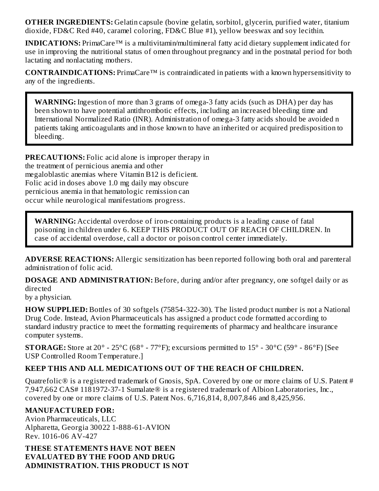**OTHER INGREDIENTS:** Gelatin capsule (bovine gelatin, sorbitol, glycerin, purified water, titanium dioxide, FD&C Red #40, caramel coloring, FD&C Blue #1), yellow beeswax and soy lecithin.

**INDICATIONS:** PrimaCare<sup>™</sup> is a multivitamin/multimineral fatty acid dietary supplement indicated for use in improving the nutritional status of omen throughout pregnancy and in the postnatal period for both lactating and nonlactating mothers.

**CONTRAINDICATIONS:** PrimaCare™ is contraindicated in patients with a known hypersensitivity to any of the ingredients.

**WARNING:** Ingestion of more than 3 grams of omega-3 fatty acids (such as DHA) per day has been shown to have potential antithrombotic effects, including an increased bleeding time and International Normalized Ratio (INR). Administration of omega-3 fatty acids should be avoided n patients taking anticoagulants and in those known to have an inherited or acquired predisposition to bleeding.

**PRECAUTIONS:** Folic acid alone is improper therapy in the treatment of pernicious anemia and other megaloblastic anemias where Vitamin B12 is deficient. Folic acid in doses above 1.0 mg daily may obscure pernicious anemia in that hematologic remission can occur while neurological manifestations progress.

**WARNING:** Accidental overdose of iron-containing products is a leading cause of fatal poisoning in children under 6. KEEP THIS PRODUCT OUT OF REACH OF CHILDREN. In case of accidental overdose, call a doctor or poison control center immediately.

**ADVERSE REACTIONS:** Allergic sensitization has been reported following both oral and parenteral administration of folic acid.

**DOSAGE AND ADMINISTRATION:** Before, during and/or after pregnancy, one softgel daily or as directed

by a physician.

**HOW SUPPLIED:** Bottles of 30 softgels (75854-322-30). The listed product number is not a National Drug Code. Instead, Avion Pharmaceuticals has assigned a product code formatted according to standard industry practice to meet the formatting requirements of pharmacy and healthcare insurance computer systems.

**STORAGE:** Store at 20° - 25°C (68° - 77°F); excursions permitted to 15° - 30°C (59° - 86°F) [See USP Controlled Room Temperature.]

### **KEEP THIS AND ALL MEDICATIONS OUT OF THE REACH OF CHILDREN.**

Quatrefolic® is a registered trademark of Gnosis, SpA. Covered by one or more claims of U.S. Patent # 7,947,662 CAS# 1181972-37-1 Sumalate® is a registered trademark of Albion Laboratories, Inc., covered by one or more claims of U.S. Patent Nos. 6,716,814, 8,007,846 and 8,425,956.

### **MANUFACTURED FOR:**

Avion Pharmaceuticals, LLC Alpharetta, Georgia 30022 1-888-61-AVION Rev. 1016-06 AV-427

**THESE STATEMENTS HAVE NOT BEEN EVALUATED BY THE FOOD AND DRUG ADMINISTRATION. THIS PRODUCT IS NOT**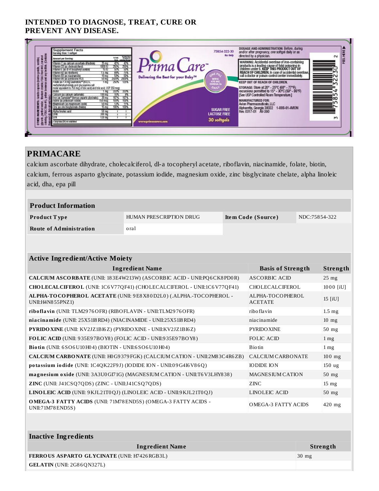#### **INTENDED TO DIAGNOSE, TREAT, CURE OR** PREVENT ANY DISEASE.

| capaule (bowlne gelath, sorbitol,<br>1 d'octóe, FCA:C Peci #40,caramet<br>berewax and soy lecthin. (Contains<br>Amount per Serving:<br>Vitamin D3 las cholecalcilerolt<br>Vitamin 62 (as ribollavin)<br>Vitamin EG (as niacinamide)<br>Vitamin B6 (as pyndoxine HCT)<br>Folate (as 1.4 mg Quatretolic®(@S)-5, | Vitamin C (as calcium ascorbate dihydrate)<br>Vitamin E (as di-A tocopheryl acetate)                                                                                        | 87%<br>25 <sub>ma</sub><br>100010<br>250%<br>50%<br>15 IU<br>1.5 ma<br>50%<br>$10 \text{ ma}$<br>2500% 2000%<br>$50 \text{ ma}$ | Nitally Willable State<br>Nital (Propincia)<br>Nital Listation (Done)<br>42%<br>250%<br>50%<br>50% | Prima Care                                      |                                                          | directed by a physician.<br>WARNING: Accidental overdose of iron-containing<br>products is a leading cause of fatal poisoning in<br>children under 6. KEEP THIS PRODUCT OUT OF   | $\sim$                    |
|---------------------------------------------------------------------------------------------------------------------------------------------------------------------------------------------------------------------------------------------------------------------------------------------------------------|-----------------------------------------------------------------------------------------------------------------------------------------------------------------------------|---------------------------------------------------------------------------------------------------------------------------------|----------------------------------------------------------------------------------------------------|-------------------------------------------------|----------------------------------------------------------|----------------------------------------------------------------------------------------------------------------------------------------------------------------------------------|---------------------------|
|                                                                                                                                                                                                                                                                                                               |                                                                                                                                                                             |                                                                                                                                 |                                                                                                    | Delivering the Best for your Baby <sup>TM</sup> |                                                          | REACH OF CHILDREN. In case of accidental overdose,<br>call a doctor or poison control center immediately.                                                                        |                           |
| Bantin<br>Calcium las calcium carbonate)                                                                                                                                                                                                                                                                      | methytletrahydrofolate acid glucosamine salt<br>molar equivalent to 750 mog of folic acid) and folic acid, USP 250 mcg)<br>Iron (as Sumalate® d'errous asperto ol voinate)) | 1 ma<br>250%<br>ma<br>333%<br>100 mo<br>30 <sub>ma</sub><br>167%                                                                | 125%<br>333%<br>167%                                                                               |                                                 | <b>WITH</b><br>470 MG<br><b>OMEGA 3s</b><br><b>OAILY</b> | <b>KEEP OUT OF REACH OF CHILDREN.</b><br>STORAGE: Store at 20° - 25°C (68° - 77°F);<br>excursions permitted to 15° - 30°C (59° - 86°F)<br>[See USP Controlled Room Temperature.] | <b>THE REAL PROPERTY.</b> |
| lockne (as polassium io dide)<br>Blue #1)<br>E Magnesium (asmag<br>E Zinc Jaszincbisgly)<br>E Alpha linolaic acid<br>E UHA<br>Zinc jas zinc bisglycinale chelate)<br>PATHER<br>FIDSCI<br>giycam,<br>coloring,                                                                                                 | Macresium (as macnesium coode)                                                                                                                                              | 150 mcg<br>50 <sub>ma</sub><br>100%<br>15 ma<br>50 <sub>ma</sub><br>$300 \text{ mg}$<br>$120 \text{ mg}$                        | 100%<br>11%<br>100%                                                                                |                                                 | <b>SUGAR FREE</b><br><b>LACTOSE FREE</b><br>30 softgels  | <b>MANUFACTURED FOR:</b><br>Avion Pharmaceuticals, LLC<br>Alpharetta, Georgia 30022<br>Rev. 0317-01 AV-390<br>1-888-61-AMON                                                      | М                         |

#### **PRIMACARE**

calcium ascorbate dihydrate, cholecalciferol, dl-a tocopheryl acetate, riboflavin, niacinamide, folate, biotin, calcium, ferrous asparto glycinate, potassium iodide, magnesium oxide, zinc bisglycinate chelate, alpha linoleic acid, dha, epa pill

| <b>Product Information</b> |                         |                    |               |  |  |
|----------------------------|-------------------------|--------------------|---------------|--|--|
| Product Type               | HUMAN PRESCRIPTION DRUG | Item Code (Source) | NDC:75854-322 |  |  |
| Route of Administration    | oral                    |                    |               |  |  |

| <b>Active Ingredient/Active Moiety</b>                                                     |                                    |                   |  |  |  |
|--------------------------------------------------------------------------------------------|------------------------------------|-------------------|--|--|--|
| <b>Ingredient Name</b>                                                                     | <b>Basis of Strength</b>           | Strength          |  |  |  |
| CALCIUM ASCORBATE (UNII: 183E4W213W) (ASCORBIC ACID - UNII:PQ6CK8PD0R)                     | ASCORBIC ACID                      | $25$ mg           |  |  |  |
| CHOLECALCIFEROL (UNII: 1C6V77QF41) (CHOLECALCIFEROL - UNII:1C6V77QF41)                     | CHOLECALCIFEROL                    | 1000 [iU]         |  |  |  |
| ALPHA-TOCOPHEROL ACETATE (UNII: 9E8X80D2L0) (.ALPHA.-TOCOPHEROL -<br>UNII: H4N8 55PNZ1)    | ALPHA-TOCOPHEROL<br><b>ACETATE</b> | 15 $[iU]$         |  |  |  |
| riboflavin (UNII: TLM2976OFR) (RIBOFLAVIN - UNII:TLM2976OFR)                               | riboflavin                         | $1.5 \text{ mg}$  |  |  |  |
| niacinamide (UNII: 25X51I8RD4) (NIACINAMIDE - UNII:25X51I8RD4)                             | niacinamide                        | $10$ mg           |  |  |  |
| <b>PYRIDO XINE (UNII: KV2JZ1BI6Z) (PYRIDO XINE - UNII:KV2JZ1BI6Z)</b>                      | <b>PYRIDO XINE</b>                 | $50$ mg           |  |  |  |
| FOLIC ACID (UNII: 935E97BOY8) (FOLIC ACID - UNII:935E97BOY8)                               | FOLIC ACID                         | $1 \,\mathrm{mg}$ |  |  |  |
| Biotin (UNII: 6SO6U10H04) (BIOTIN - UNII:6SO6U10H04)                                       | <b>Biotin</b>                      | $1 \,\mathrm{mg}$ |  |  |  |
| <b>CALCIUM CARBONATE</b> (UNII: H0G9379 FGK) (CALCIUM CATION - UNII:2M83C4R6ZB)            | CALCIUM CARBONATE                  | $100$ mg          |  |  |  |
| potassium iodide (UNII: 1C4QK22F9J) (IODIDE ION - UNII:09G4I6V86Q)                         | <b>IODIDE ION</b>                  | $150$ ug          |  |  |  |
| magnesium oxide (UNII: 3A3U0GI71G) (MAGNESIUM CATION - UNII:T6 V3LHY838)                   | <b>MAGNESIUM CATION</b>            | $50$ mg           |  |  |  |
| <b>ZINC</b> (UNII: $J41CSQ7QDS$ ) (ZINC - UNII: $J41CSQ7QDS$ )                             | ZINC                               | $15 \text{ mg}$   |  |  |  |
| LINOLEIC ACID (UNII: 9 KJL21T0QJ) (LINOLEIC ACID - UNII: 9 KJL21T0QJ)                      | LINOLEIC ACID                      | $50$ mg           |  |  |  |
| <b>OMEGA-3 FATTY ACIDS</b> (UNII: 71M78 END5S) (OMEGA-3 FATTY ACIDS -<br>UNII:71M78 END5S) | <b>OMEGA-3 FATTY ACIDS</b>         | $420$ mg          |  |  |  |

| Inactive Ingredients                         |                 |  |  |  |
|----------------------------------------------|-----------------|--|--|--|
| <b>Ingredient Name</b>                       | Strength        |  |  |  |
| FERROUS ASPARTO GLYCINATE (UNII: H7426RGB3L) | $30 \text{ mg}$ |  |  |  |
| $GELATIN$ (UNII: 2G86QN327L)                 |                 |  |  |  |